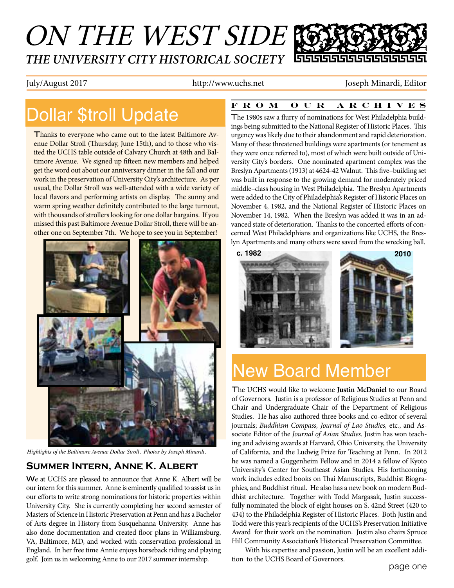## ON THE WEST SIDE *THE UNIVERSITY CITY HISTORICAL SOCIETY* 66666666666666

July/August 2017 http://www.uchs.net Joseph Minardi, Editor

## Dollar \$troll Update

Thanks to everyone who came out to the latest Baltimore Avenue Dollar Stroll (Thursday, June 15th), and to those who visited the UCHS table outside of Calvary Church at 48th and Baltimore Avenue. We signed up fifteen new members and helped get the word out about our anniversary dinner in the fall and our work in the preservation of University City's architecture. As per usual, the Dollar Stroll was well-attended with a wide variety of local flavors and performing artists on display. The sunny and warm spring weather definitely contributed to the large turnout, with thousands of strollers looking for one dollar bargains. If you missed this past Baltimore Avenue Dollar Stroll, there will be another one on September 7th. We hope to see you in September!



*Highlights of the Baltimore Avenue Dollar Stroll. Photos by Joseph Minardi.*

### **Summer Intern, Anne K. Albert**

We at UCHS are pleased to announce that Anne K. Albert will be our intern for this summer. Anne is eminently qualified to assist us in our efforts to write strong nominations for historic properties within University City. She is currently completing her second semester of Masters of Science in Historic Preservation at Penn and has a Bachelor of Arts degree in History from Susquehanna University. Anne has also done documentation and created floor plans in Williamsburg, VA, Baltimore, MD, and worked with conservation professional in England. In her free time Annie enjoys horseback riding and playing golf. Join us in welcoming Anne to our 2017 summer internship.

#### **FROM OUR ARCHIVES**

The 1980s saw a flurry of nominations for West Philadelphia buildings being submitted to the National Register of Historic Places. This urgency was likely due to their abandonment and rapid deterioration. Many of these threatened buildings were apartments (or tenement as they were once referred to), most of which were built outside of University City's borders. One nominated apartment complex was the Breslyn Apartments (1913) at 4624-42 Walnut. This five–building set was built in response to the growing demand for moderately priced middle–class housing in West Philadelphia. The Breslyn Apartments were added to the City of Philadelphia's Register of Historic Places on November 4, 1982, and the National Register of Historic Places on November 14, 1982. When the Breslyn was added it was in an advanced state of deterioration. Thanks to the concerted efforts of concerned West Philadelphians and organizations like UCHS, the Breslyn Apartments and many others were saved from the wrecking ball.



# New Board Member

The UCHS would like to welcome **Justin McDaniel** to our Board of Governors. Justin is a professor of Religious Studies at Penn and Chair and Undergraduate Chair of the Department of Religious Studies. He has also authored three books and co-editor of several journals; *Buddhism Compass, Journal of Lao Studies,* etc*.*, and Associate Editor of the *Journal of Asian Studies*. Justin has won teaching and advising awards at Harvard, Ohio University, the University of California, and the Ludwig Prize for Teaching at Penn. In 2012 he was named a Guggenheim Fellow and in 2014 a fellow of Kyoto University's Center for Southeast Asian Studies. His forthcoming work includes edited books on Thai Manuscripts, Buddhist Biographies, and Buddhist ritual. He also has a new book on modern Buddhist architecture. Together with Todd Margasak, Justin successfully nominated the block of eight houses on S. 42nd Street (420 to 434) to the Philadelphia Register of Historic Places. Both Justin and Todd were this year's recipients of the UCHS's Preservation Initiative Award for their work on the nomination. Justin also chairs Spruce Hill Community Association's Historical Preservation Committee.

With his expertise and passion, Justin will be an excellent addition to the UCHS Board of Governors.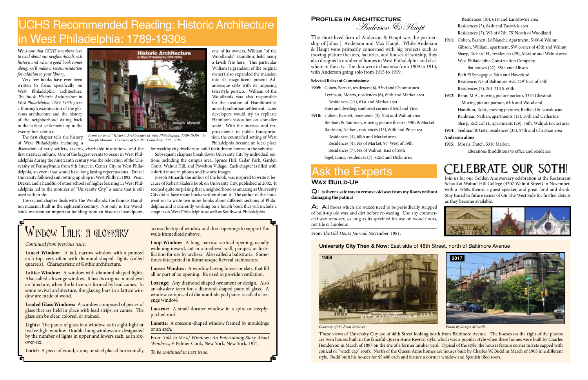*Courtesy of the Penn Archives. Photo by Joseph Minardi.*



These views of University City are of 48th Street looking north from Baltimore Avenue. The houses on the right of the photos are twin houses built in the fanciful Queen Anne Revival style, which was a popular style when these homes were built by Charles Henderson in March of 1897 on the site of a former lumber yard. Typical of the style, the houses feature corner turrets capped with conical or "witch cap" roofs. North of the Queen Anne homes are houses built by Charles W. Budd in March of 1903 in a different style. Budd built his houses for \$5,400 each and feature a dormer window and Spanish tiled roofs.

### **University City Then & Now:** East side of 48th Street, north of Baltimore Avenue

**2017**

*We know that UCHS members love to read about our neighborhood's rich history, and when a good book comes along, we'll make a recommendation for addition to your library*.

Very few books have ever been written to focus specifically on West Philadelphia architecture. The book *Historic Architecture in West Philadelphia, 1789-1930s* gives a thorough examination of the glorious architecture and the history of the neighborhood dating back to the earliest settlements up to the twenty-first century.

The first chapter tells the history of West Philadelphia including a

discussion of early settlers, taverns, charitable institutions, and the first streetcar suburb. One of the biggest events to occur in West Philadelphia during the nineteenth century was the relocation of the University of Pennsylvania from 9th Street in Center City to West Philadelphia, an event that would have long lasting repercussions. Drexel University followed suit, setting up shop in West Philly in 1892. Penn, Drexel, and a handful of other schools of higher learning in West Philadelphia led to the moniker of "University City," a name that is still used with pride.

> A: All floors which are waxed need to be periodically stripped of built-up old wax and dirt before re-waxing. Use any commercial wax remover, so long as its specified for use on wood floors, not tile or linoleum.

The second chapter deals with The Woodlands, the famous Hamilton mansion built in the eighteenth century. Not only is The Woodlands mansion an important building from an historical standpoint, The short-lived firm of Anderson & Haupt was the partne ship of Julius J. Anderson and Max Haupt. While Anderson & Haupt were primarily concerned with big projects such moving picture theaters, factories, and houses of worship, the also designed a number of homes in West Philadelphia and els where in the city. The duo were in business from 1909 to 191 with Anderson going solo from 1915 to 1919.

one of its owners, William "of the Woodlands" Hamilton, held many a lavish fete here. This particular William (a grandson of the original owner) also expanded the mansion into its magnificent present Adamsesque style with its imposing tetrastyle portico. William of the Woodlands was also responsible for the creation of Hamiltonville, an early suburban settlement. Later developers would try to replicate Hamilton's vision but on a smaller scale. With the increase and improvements in public transportation, the countrified setting of West Philadelphia became an ideal place

for wealthy city dwellers to build their dream homes in the suburbs. Subsequent chapters break down University City by individual sec-

tions including the campus area, Spruce Hill, Cedar Park, Garden Court, Walnut Hill, and Powelton Village. Each chapter is filled with colorful modern photos and historic images.

Joseph Minardi, the author of the book, was inspired to write it because of Robert Skaler's book on University City, published in 2002. It seemed quite surprising that a neighborhood as amazing as University City didn't have many books written about it. The author of this book went on to write two more books about different sections of Philadelphia and is currently working on a fourth book that will include a chapter on West Philadelphia as well as Southwest Philadelphia.

# WINDOW THLK: A GLOSSHRY

## UCHS Recommended Reading: Historic Architecture in West Philadelphia: 1789-1930s



*Front cover of "Historic Architecture in West Philadelphia, 1789-1930s" by Joseph Minardi. Courtesy of Schiffer Publishing, Ltd., 2010.*

Q: I**s there a safe way to remove old wax from my floors without damaging the patina?**

From *The Old-House Journal*, November, 1981.

### **Wax Build-Up**

# Ask the Experts

## **Profiles in Architecture**

Anderson & Haupt

#### **Selected Relevant Commissions:**

- **1909:** Cohen, Barnett, residences (6), 52nd and Chestnut area
	- Levinson, Morris, residences (6), 60th and Market area Residences (11), 61st and Market area
	- Store and dwelling, southwest corner of 63rd and Vine.
- **1910:** Cohen, Barnett, tenements (3), 51st and Walnut area
- Benham & Raidman, moving picture theatre, 59th & Market
	- Raidman, Nathan, residences (43), 60th and Pine area Residences (4), 60th and Market area
		- Residences (4), NS of Market, 97' West of 59th
		- Residences (7), NS of Walnut, East of 55th
- Sigel, Louis, residences (7), 82nd and Dicks area

|                             |  | Residences (10), 61st and Lansdowne area                       |
|-----------------------------|--|----------------------------------------------------------------|
| er-<br>эn<br>as<br>ey<br>e- |  | Residences (3), 84th and Eastwick area                         |
|                             |  | Residences (7), WS of 67th, 75' North of Woodland              |
|                             |  | 1911: Cohen, Barnett, Le Blanche Apartment, 5100-8 Walnut      |
|                             |  | Gibson, William, apartment, SW corner of 45th and Walnut       |
|                             |  | Sharp, Richard H., residences (29), Markoe and Walnut area     |
|                             |  | West Philadelphia Construction Company,                        |
| 4,                          |  | flat houses (22), 55th and Allison                             |
|                             |  | Beth El Synagogue, 54th and Haverford                          |
|                             |  | Residence, NS of Baltimore Ave, 279' East of 55th              |
|                             |  | Residences (7), 201-213 S. 60th                                |
|                             |  | 1912: Benn, M.A., moving picture parlour, 3323 Chestnut        |
|                             |  | Moving picture parlour, 64th and Woodland                      |
|                             |  | Hamilton, Robt., moving pictures, Redfield & Lansdowne         |
|                             |  | Raidman, Nathan, apartments (13), 50th and Catharine           |
| t                           |  | Sharp, Richard H., apartments (29), 46th, Walnut/Locust area   |
|                             |  | 1914: Seidman & Getz, residences (35), 57th and Christian area |
| Anderson alone              |  |                                                                |
|                             |  |                                                                |

**1915:** Morris, Dutch, 5310 Market, alterations & additions to office and residence

# CELEBRATE QUR 50TH!

*Continued from previous issue*.

**Lancet Window:** A tall, narrow window with a pointed arch top, very often with diamond shaped lights (called quarrels). Characteristic of Gothic architecture.

**Lattice Window:** A window with diamond-shaped lights. Also called a lozenge window. It has its origins in medieval architecture, when the lattice was formed by lead cames. In some revival architecture, the glazing bars in a lattice window are made of wood.

**Leaded Glass Windows:** A window composed of pieces of glass that are held in place with lead strips, or cames. The glass can be clear, colored, or stained.

**Lights:** The panes of glass in a window, as in eight-light or twelve-light window. Double-hung windows are designated by the number of lights in upper and lowers sash, as in sixover-six.

**Lintel:** A piece of wood, stone, or steel placed horizontally

across the top of window and door openings to support the walls immediately above.

**Loop Window:** A long, narrow, vertical opening, usually widening inward, cut in a medieval wall, parapet, or fortification for use by archers. Also called a balistraria. Sometimes interpreted in Romanesque Revival architecture.

**Louver Window:** A window having louver or slats, that fill all or part of an opening. It's used to provide ventilation.

**Lozenge:** Any diamond shaped ornament or design. Also an obsolete term for a diamond-shaped pane of glass. A window composed of diamond-shaped panes is called a lozenge window.

**Lucarne:** A small dormer window in a spire or steeplypitched roof.

**Lunette:** A crescent-shaped window framed by mouldings or an arch.

From *Talk to Me of Windows: An Entertaining Story About Windows*, F. Palmer Cook, New York, New York, 1971.

*To be continued in next issue.*

Join us for our Golden Anniversary celebration at the Restaurant School at Walnut Hill College (4207 Walnut Street) in November, with a 1960s theme, a guest speaker, and great food and drink. Stay tuned to future issues of On The West Side for further details as they become available.